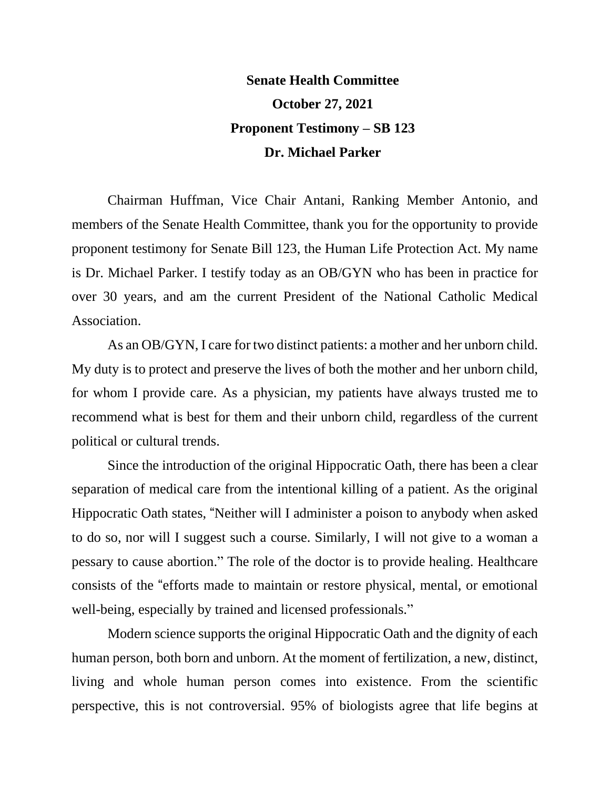## **Senate Health Committee October 27, 2021 Proponent Testimony – SB 123 Dr. Michael Parker**

Chairman Huffman, Vice Chair Antani, Ranking Member Antonio, and members of the Senate Health Committee, thank you for the opportunity to provide proponent testimony for Senate Bill 123, the Human Life Protection Act. My name is Dr. Michael Parker. I testify today as an OB/GYN who has been in practice for over 30 years, and am the current President of the National Catholic Medical Association.

As an OB/GYN, I care for two distinct patients: a mother and her unborn child. My duty is to protect and preserve the lives of both the mother and her unborn child, for whom I provide care. As a physician, my patients have always trusted me to recommend what is best for them and their unborn child, regardless of the current political or cultural trends.

Since the introduction of the original Hippocratic Oath, there has been a clear separation of medical care from the intentional killing of a patient. As the original Hippocratic Oath states, "Neither will I administer a poison to anybody when asked to do so, nor will I suggest such a course. Similarly, I will not give to a woman a pessary to cause abortion." The role of the doctor is to provide healing. Healthcare consists of the "efforts made to maintain or restore physical, mental, or emotional well-being, especially by trained and licensed professionals."

Modern science supports the original Hippocratic Oath and the dignity of each human person, both born and unborn. At the moment of fertilization, a new, distinct, living and whole human person comes into existence. From the scientific perspective, this is not controversial. 95% of biologists agree that life begins at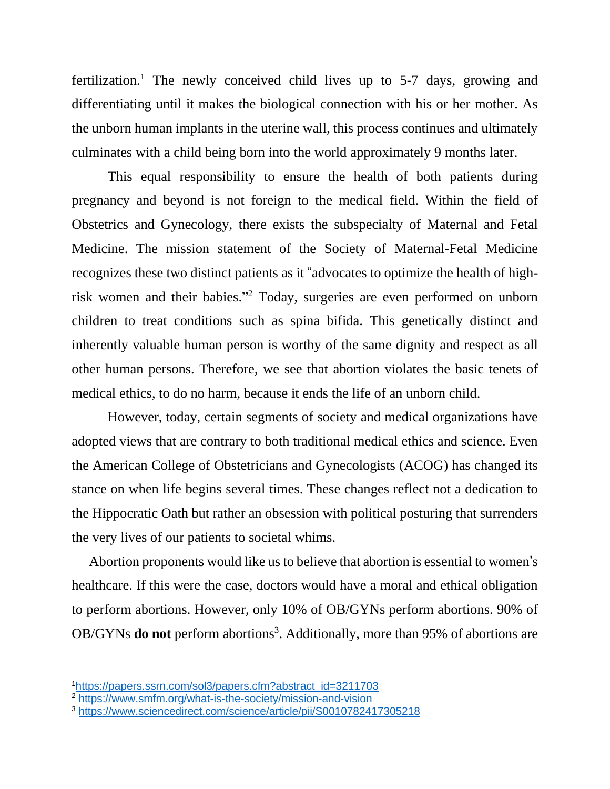fertilization.<sup>1</sup> The newly conceived child lives up to  $5-7$  days, growing and differentiating until it makes the biological connection with his or her mother. As the unborn human implants in the uterine wall, this process continues and ultimately culminates with a child being born into the world approximately 9 months later.

This equal responsibility to ensure the health of both patients during pregnancy and beyond is not foreign to the medical field. Within the field of Obstetrics and Gynecology, there exists the subspecialty of Maternal and Fetal Medicine. The mission statement of the Society of Maternal-Fetal Medicine recognizes these two distinct patients as it "advocates to optimize the health of highrisk women and their babies." <sup>2</sup> Today, surgeries are even performed on unborn children to treat conditions such as spina bifida. This genetically distinct and inherently valuable human person is worthy of the same dignity and respect as all other human persons. Therefore, we see that abortion violates the basic tenets of medical ethics, to do no harm, because it ends the life of an unborn child.

However, today, certain segments of society and medical organizations have adopted views that are contrary to both traditional medical ethics and science. Even the American College of Obstetricians and Gynecologists (ACOG) has changed its stance on when life begins several times. These changes reflect not a dedication to the Hippocratic Oath but rather an obsession with political posturing that surrenders the very lives of our patients to societal whims.

Abortion proponents would like us to believe that abortion is essential to women's healthcare. If this were the case, doctors would have a moral and ethical obligation to perform abortions. However, only 10% of OB/GYNs perform abortions. 90% of OB/GYNs **do not** perform abortions<sup>3</sup>. Additionally, more than 95% of abortions are

<sup>1</sup>[https://papers.ssrn.com/sol3/papers.cfm?abstract\\_id=3211703](https://papers.ssrn.com/sol3/papers.cfm?abstract_id=3211703)

<sup>2</sup> <https://www.smfm.org/what-is-the-society/mission-and-vision>

<sup>3</sup> <https://www.sciencedirect.com/science/article/pii/S0010782417305218>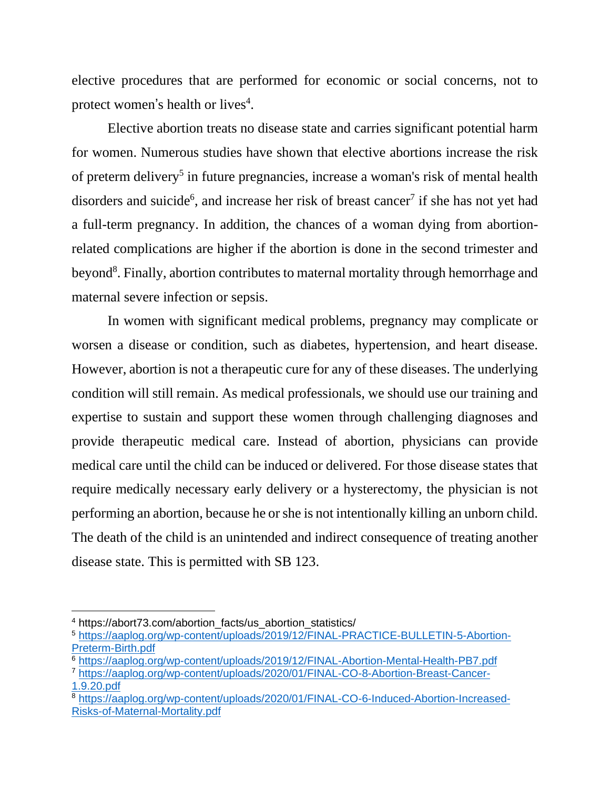elective procedures that are performed for economic or social concerns, not to protect women's health or lives<sup>4</sup>.

Elective abortion treats no disease state and carries significant potential harm for women. Numerous studies have shown that elective abortions increase the risk of preterm delivery<sup>5</sup> in future pregnancies, increase a woman's risk of mental health disorders and suicide<sup>6</sup>, and increase her risk of breast cancer<sup>7</sup> if she has not yet had a full-term pregnancy. In addition, the chances of a woman dying from abortionrelated complications are higher if the abortion is done in the second trimester and beyond<sup>8</sup>. Finally, abortion contributes to maternal mortality through hemorrhage and maternal severe infection or sepsis.

In women with significant medical problems, pregnancy may complicate or worsen a disease or condition, such as diabetes, hypertension, and heart disease. However, abortion is not a therapeutic cure for any of these diseases. The underlying condition will still remain. As medical professionals, we should use our training and expertise to sustain and support these women through challenging diagnoses and provide therapeutic medical care. Instead of abortion, physicians can provide medical care until the child can be induced or delivered. For those disease states that require medically necessary early delivery or a hysterectomy, the physician is not performing an abortion, because he orshe is not intentionally killing an unborn child. The death of the child is an unintended and indirect consequence of treating another disease state. This is permitted with SB 123.

[1.9.20.pdf](https://aaplog.org/wp-content/uploads/2020/01/FINAL-CO-8-Abortion-Breast-Cancer-1.9.20.pdf)

<sup>&</sup>lt;sup>4</sup> https://abort73.com/abortion\_facts/us\_abortion\_statistics/

<sup>5</sup> [https://aaplog.org/wp-content/uploads/2019/12/FINAL-PRACTICE-BULLETIN-5-Abortion-](https://aaplog.org/wp-content/uploads/2019/12/FINAL-PRACTICE-BULLETIN-5-Abortion-Preterm-Birth.pdf)[Preterm-Birth.pdf](https://aaplog.org/wp-content/uploads/2019/12/FINAL-PRACTICE-BULLETIN-5-Abortion-Preterm-Birth.pdf)

<sup>6</sup> <https://aaplog.org/wp-content/uploads/2019/12/FINAL-Abortion-Mental-Health-PB7.pdf> <sup>7</sup> [https://aaplog.org/wp-content/uploads/2020/01/FINAL-CO-8-Abortion-Breast-Cancer-](https://aaplog.org/wp-content/uploads/2020/01/FINAL-CO-8-Abortion-Breast-Cancer-1.9.20.pdf)

<sup>8</sup> [https://aaplog.org/wp-content/uploads/2020/01/FINAL-CO-6-Induced-Abortion-Increased-](https://aaplog.org/wp-content/uploads/2020/01/FINAL-CO-6-Induced-Abortion-Increased-Risks-of-Maternal-Mortality.pdf)[Risks-of-Maternal-Mortality.pdf](https://aaplog.org/wp-content/uploads/2020/01/FINAL-CO-6-Induced-Abortion-Increased-Risks-of-Maternal-Mortality.pdf)